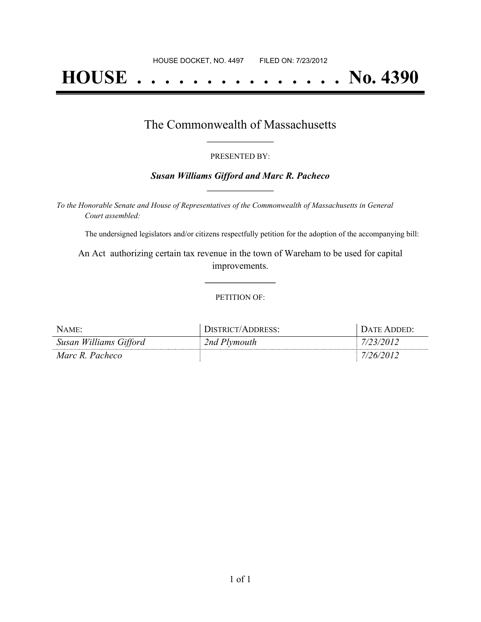# **HOUSE . . . . . . . . . . . . . . . No. 4390**

### The Commonwealth of Massachusetts **\_\_\_\_\_\_\_\_\_\_\_\_\_\_\_\_\_**

#### PRESENTED BY:

#### *Susan Williams Gifford and Marc R. Pacheco* **\_\_\_\_\_\_\_\_\_\_\_\_\_\_\_\_\_**

*To the Honorable Senate and House of Representatives of the Commonwealth of Massachusetts in General Court assembled:*

The undersigned legislators and/or citizens respectfully petition for the adoption of the accompanying bill:

An Act authorizing certain tax revenue in the town of Wareham to be used for capital improvements.

**\_\_\_\_\_\_\_\_\_\_\_\_\_\_\_**

#### PETITION OF:

| NAME:                  | DISTRICT/ADDRESS: | DATE ADDED'     |
|------------------------|-------------------|-----------------|
| Susan Williams Gifford | 2nd Plymouth      | <i>723/2012</i> |
| Marc R. Pacheco        |                   | 26/2012         |